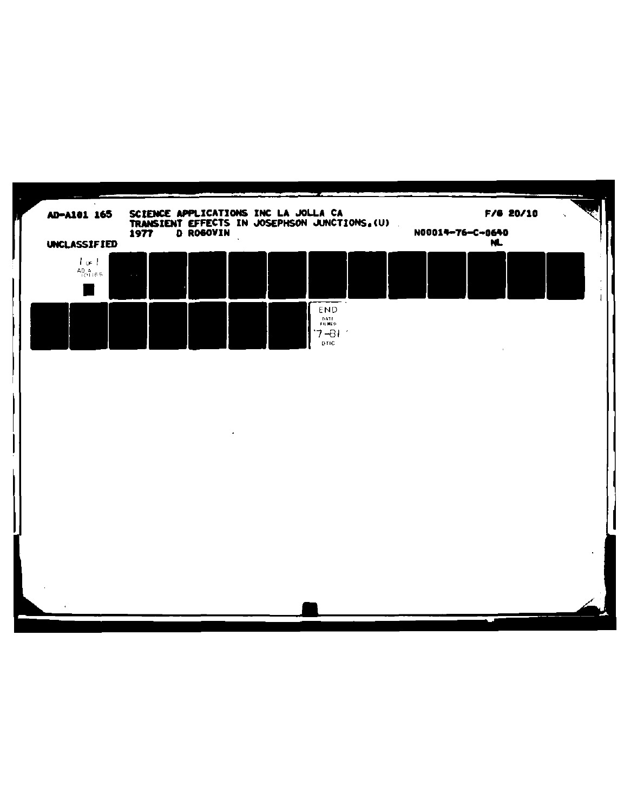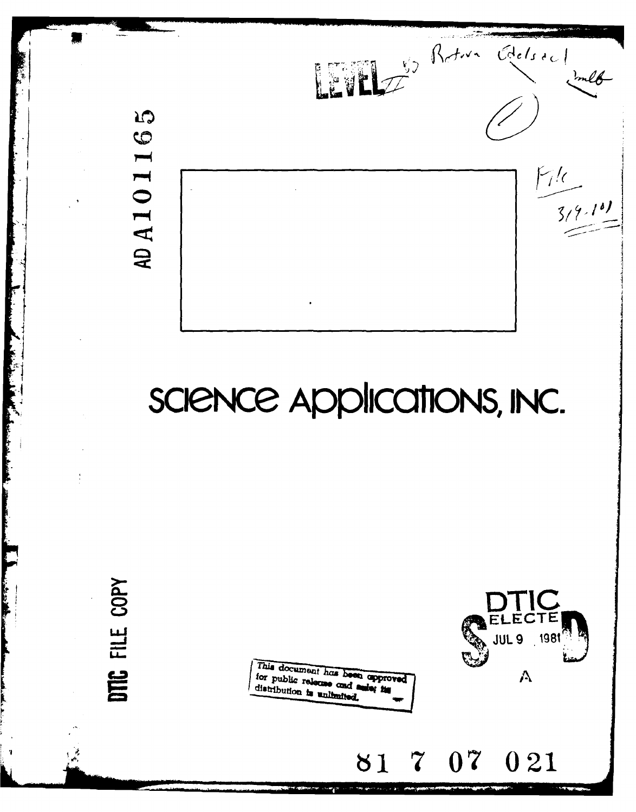

# SCIENCE Applications, INC.

COPY FILE DTC

This document has been approved for public release and supprodistribution is unbinded distribution is uniformed



**7 07** 021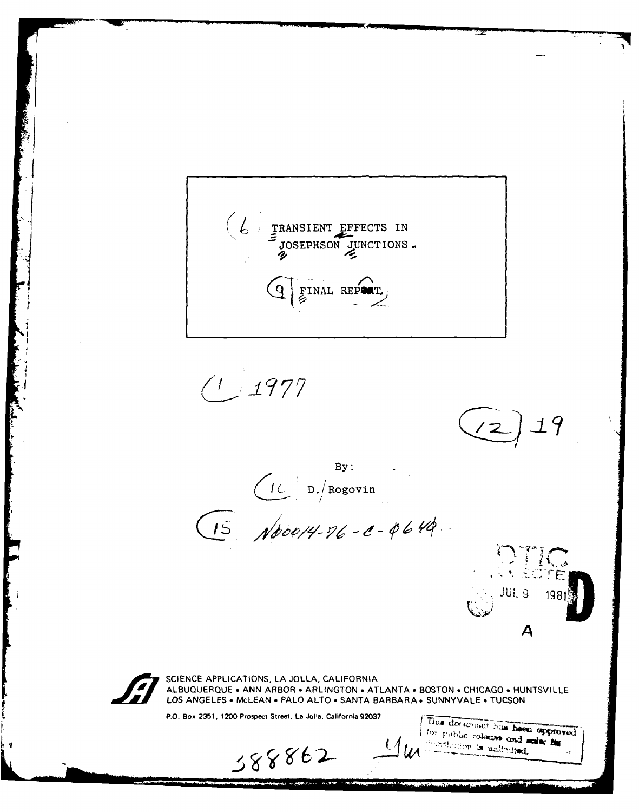

 $(1.1977$ 

it in de de termen de la partie de la partie de la partie de la partie de la partie de la partie de la partie<br>La partie de la partie de la partie de la partie de la partie de la partie de la partie de la partie de la par

 $(z)$ 19

**By:** D./Rogovin



P.O. Box **2351,** 1200 Prospect Street. La **Jolla,** California **92037**

388862

This document has been approved for public release and sale; he  $\mathcal{U}$ les *Habilington* is unlimited.

**CONS JUL 9** 

*A*

 $\mathcal{N}_{\text{max}}$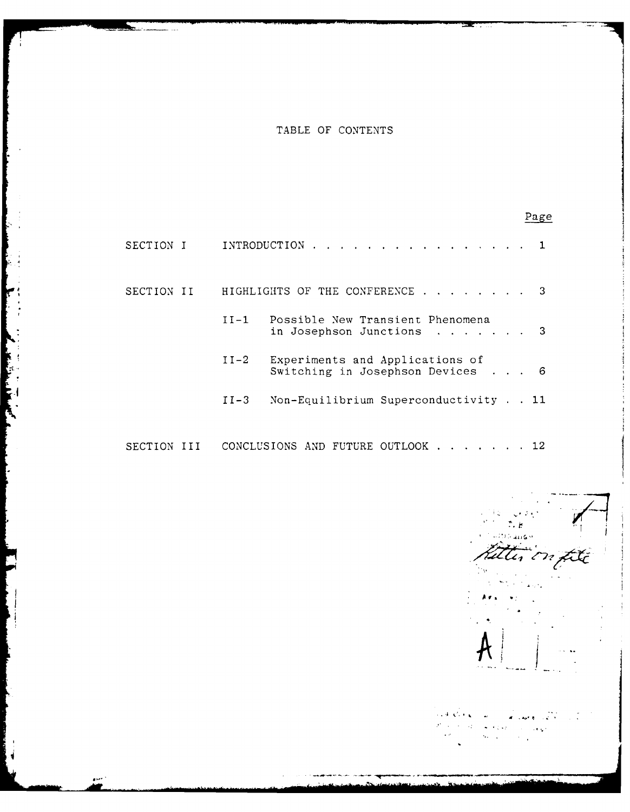# TABLE OF CONTENTS

|             |        |                                                                   | Page |
|-------------|--------|-------------------------------------------------------------------|------|
| SECTION I   |        | INTRODUCTION 1                                                    |      |
| SECTION II  |        | HIGHLIGHTS OF THE CONFERENCE                                      |      |
|             |        | II-1 Possible New Transient Phenomena<br>in Josephson Junctions   |      |
|             | $II-2$ | Experiments and Applications of<br>Switching in Josephson Devices | - 6  |
|             | $II-3$ | Non-Equilibrium Superconductivity 11                              |      |
| SECTION III |        | CONCLUSIONS AND FUTURE OUTLOOK 12                                 |      |

 $\zeta \in \mathbb{R}^{d \times d}$ ∴ e fatter on fite

 $\omega = \omega_2$  $\begin{split} \frac{d}{dt} & = \frac{d}{dt} \left( \frac{d}{dt} \right) \frac{d}{dt} \end{split}$ à.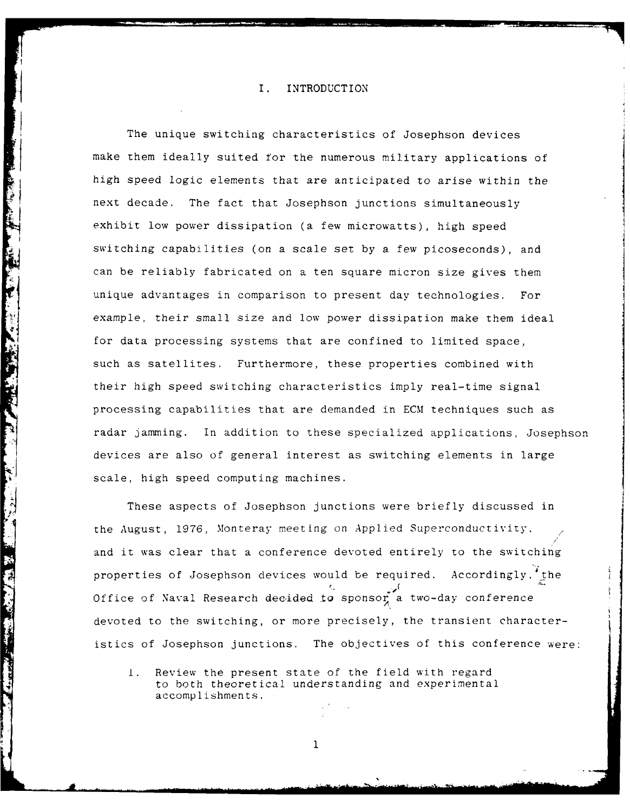# I. INTRODUCTION

The unique switching characteristics of Josephson devices make them ideally suited for the numerous military applications of high speed logic elements that are anticipated to arise within the next decade. The fact that Josephson junctions simultaneously exhibit low power dissipation (a few microwatts), high speed switching capabilities (on a scale set by a few picoseconds), and can be reliably fabricated on a ten square micron size gives them unique advantages in comparison to present day technologies. For example, their small size and low power dissipation make them ideal for data processing systems that are confined to limited space, such as satellites. Furthermore, these properties combined with their high speed switching characteristics imply real-time signal processing capabilities that are demanded in ECM techniques such as radar jamming. In addition to these specialized applications, Josephson devices are also of general interest as switching elements in large scale, high speed computing machines.

These aspects of Josephson junctions were briefly discussed in the August, 1976, Monteray meeting on Applied Superconductivity, and it was clear that a conference devoted entirely to the switching properties of Josephson devices would be required. Accordingly, the Office of Naval Research decided to sponsor a two-day conference devoted to the switching, or more precisely, the transient characteristics of Josephson junctions. The objectives of this conference were:

I. Review the present state of the field with regard to both theoretical understanding and experimental accomplishments.

 $\mathbf{1}$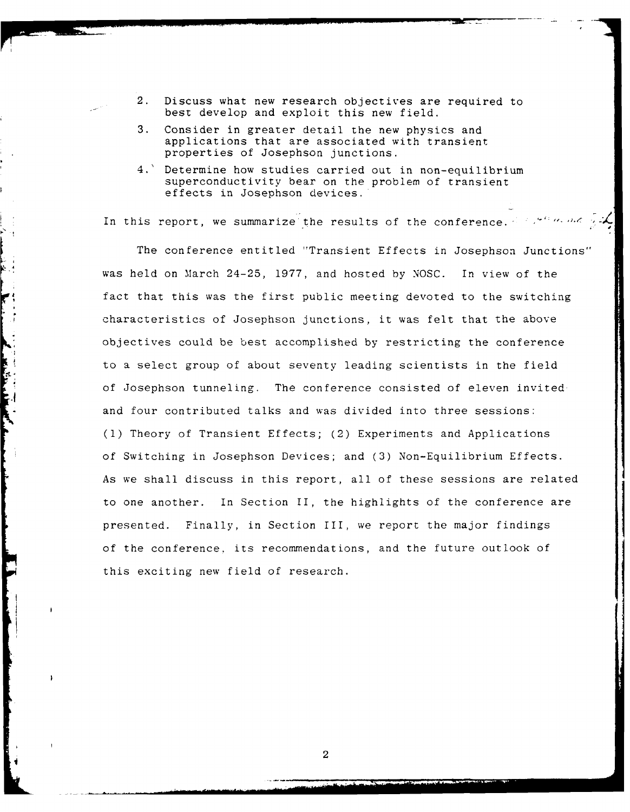- 2. Discuss what new research objectives are required to best develop and exploit this new field.
- 3. Consider in greater detail the new physics and applications that are associated with transient properties of Josephson junctions.
- 4.' Determine how studies carried out in non-equilibrium superconductivity bear on the problem of transient effects in Josephson devices.

In this report, we summarize the results of the conference.

 $\mathbf{k}$ 

Le propriet de la

The conference entitled "Transient Effects in Josephson Junctions" was held on March 24-25, 1977, and hosted by NOSC. In view of the fact that this was the first public meeting devoted to the switching characteristics of Josephson junctions, it was felt that the above objectives could be best accomplished by restricting the conference to a select group of about seventy leading scientists in the field of Josephson tunneling. The conference consisted of eleven invited and four contributed talks and was divided into three sessions: **(1)** Theory of Transient Effects; (2) Experiments and Applications of Switching in Josephson Devices; and (3) Non-Equilibrium Effects. As we shall discuss in this report, all of these sessions are related to one another. In Section II, the highlights of the conference are presented. Finally, in Section III, we report the major findings of the conference, its recommendations, and the future outlook of this exciting new field of research.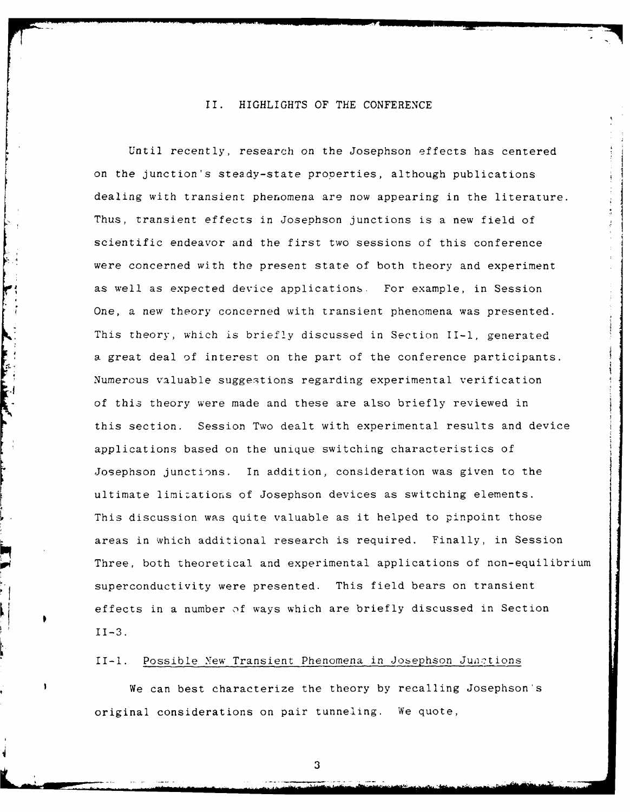### II. HIGHLIGHTS OF THE CONFERENCE

Until recently, research on the Josephson effects has centered on the junction's steady-state properties, although publications dealing with transient phenomena are now appearing in the literature. Thus, transient effects in Josephson junctions is a new field of scientific endeavor and the first two sessions of this conference were concerned with the present state of both theory and experiment as well as expected device applications. For example, in Session One, a new theory concerned with transient phenomena was presented. This theory, which is briefly discussed in Section II-1, generated a great deal of interest on the part of the conference participants. Numerous valuable suggestions regarding experimental verification of this theory were made and these are also briefly reviewed in this section. Session Two dealt with experimental results and device applications based on the unique switching characteristics of Josephson junctions. In addition, consideration was given to the ultimate limizations of Josephson devices as switching elements. This discussion was quite valuable as it helped to pinpoint those areas in which additional research is required. Finally, in Session Three, both theoretical and experimental applications of non-equilibrium superconductivity were presented. This field bears on transient effects in a number **)f** ways which are briefly discussed in Section 11-3.

#### II-l. Possible Yew Transient Phenomena in Josephson Junctions

We can best characterize the theory by recalling Josephson's original considerations on pair tunneling. We quote,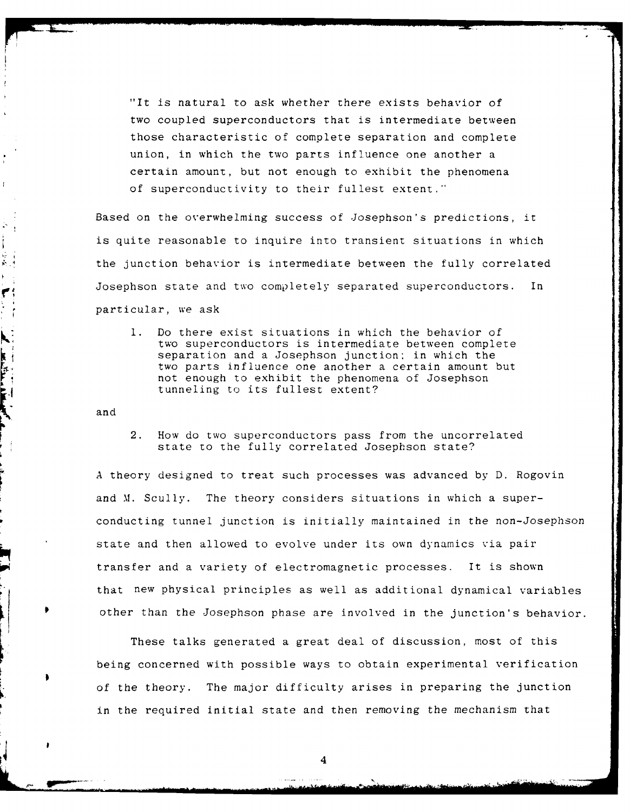"It is natural to ask whether there exists behavior of two coupled superconductors that is intermediate between those characteristic of complete separation and complete union, in which the two parts influence one another a certain amount, but not enough to exhibit the phenomena of superconductivity to their fullest extent."

Based on the overwhelming success of Josephson's predictions, it is quite reasonable to inquire into transient situations in which the junction behavior is intermediate between the fully correlated Josephson state and two completely separated superconductors. In particular, we ask

**1.** Do there exist situations in which the behavior of two superconductors is intermediate between complete separation and a Josephson junction; in which the two parts influence one another a certain amount but not enough to exhibit the phenomena of Josephson tunneling to its fullest extent?

and

ţ. j i<br>Ku

 $\blacktriangledown$ 

**NEW YORK OF BRIDE** 

2. How do two superconductors pass from the uncorrelated state to the fully correlated Josephson state?

A theory designed to treat such processes was advanced by D. Rogovin and M. Scully. The theory considers situations in which a superconducting tunnel junction is initially maintained in the non-Josephson state and then allowed to evolve under its own dynamics via pair transfer and a variety of electromagnetic processes. It is shown<br>that new physical principles as well as additional dynamical variables other than the Josephson phase are involved in the junction's behavior.

These talks generated a great deal of discussion, most of this being concerned with possible ways to obtain experimental verification of the theory. The major difficulty arises in preparing the junction in the required initial state and then removing the mechanism that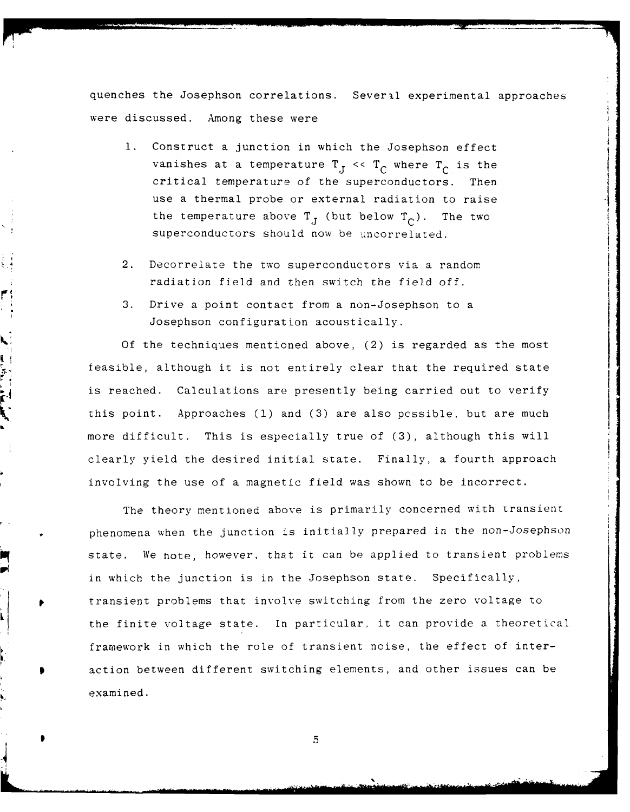quenches the Josephson correlations. Several experimental approaches were discussed. Among these were

- **1.** Construct a junction in which the Josephson effect vanishes at a temperature  $T_J \ll T_C$  where  $T_C$  is the critical temperature of the superconductors. Then use a thermal probe or external radiation to raise the temperature above  $T_{J}$  (but below  $T_{C}$ ). The two superconductors should now be uncorrelated.
- 2. Decorrelate the two superconductors via a random radiation field and then switch the field off.

 $\frac{1}{2}$ 

ا مع<br>ا

3. Drive a point contact from a non-Josephson to a Josephson configuration acoustically.

Of the techniques mentioned above, (2) is regarded as the most feasible, although it is not entirely clear that the required state is reached. Calculations are presently being carried out to verify this point. Approaches **(1)** and (3) are also possible, but are much more difficult. This is especially true of (3), although this will clearly yield the desired initial state. Finally, a fourth approach involving the use of a magnetic field was shown to be incorrect.

The theory mentioned above is primarily concerned with transient phenomena when the junction is initially prepared in the non-Josephson state. We note, however, that it can be applied to transient problems in which the junction is in the Josephson state. Specifically, transient problems that involve switching from the zero voltage to the finite voltage state. In particular, it can provide a theoretical framework in which the role of transient noise, the effect of interaction between different switching elements, and other issues can be examined.

**p** 5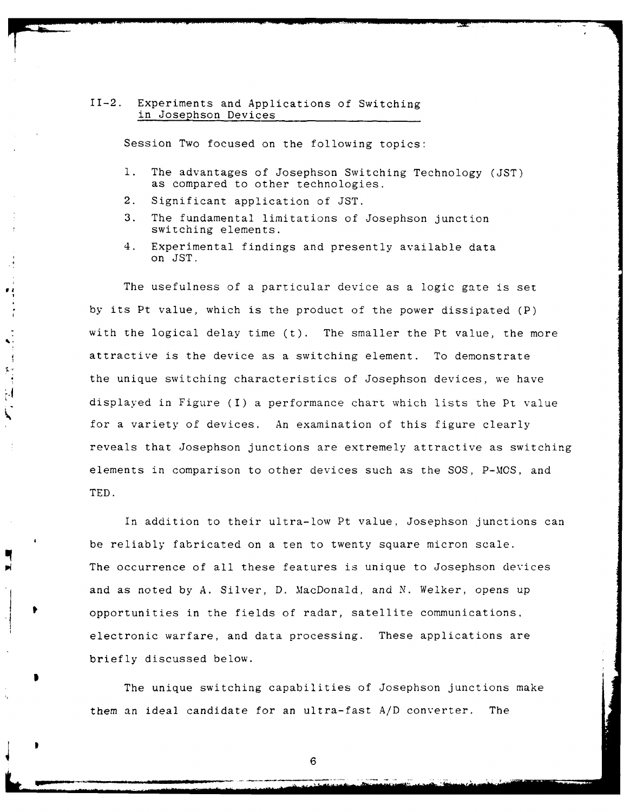#### 11-2. Experiments and Applications of Switching in Josephson Devices

Session Two focused on the following topics:

- **1.** The advantages of Josephson Switching Technology (JST) as compared to other technologies.
- 2. Significant application of JST.

 $\mathbf{F}$ 

 $\frac{1}{2}$  $\begin{bmatrix} 1 & 1 \\ 1 & 1 \\ 1 & 1 \end{bmatrix}$ 늰  $\overline{\phantom{a}}$ 

- 3. The fundamental limitations of Josephson junction switching elements.
- 4. Experimental findings and presently available data on JST.

The usefulness of a particular device as a logic gate is set by its Pt value, which is the product of the power dissipated (P) with the logical delay time (t). The smaller the Pt value, the more attractive is the device as a switching element. To demonstrate the unique switching characteristics of Josephson devices, we have displayed in Figure (I) a performance chart which lists the Pt value for a variety of devices. An examination of this figure clearly reveals that Josephson junctions are extremely attractive as switching elements in comparison to other devices such as the SOS, P-MOS, and TED.

In addition to their ultra-low Pt value, Josephson junctions can be reliably fabricated on a ten to twenty square micron scale. The occurrence of all these features is unique to Josephson devices and as noted by A. Silver, D. MacDonald, and N. Welker, opens up opportunities in the fields of radar, satellite communications, electronic warfare, and data processing. These applications are briefly discussed below.

The unique switching capabilities of Josephson junctions make them an ideal candidate for an ultra-fast A/D converter. The

**\*6**

**--** .. . . ... **imi** .i I I .. . .. I **-** llll \_ - ll . . .. . . . . -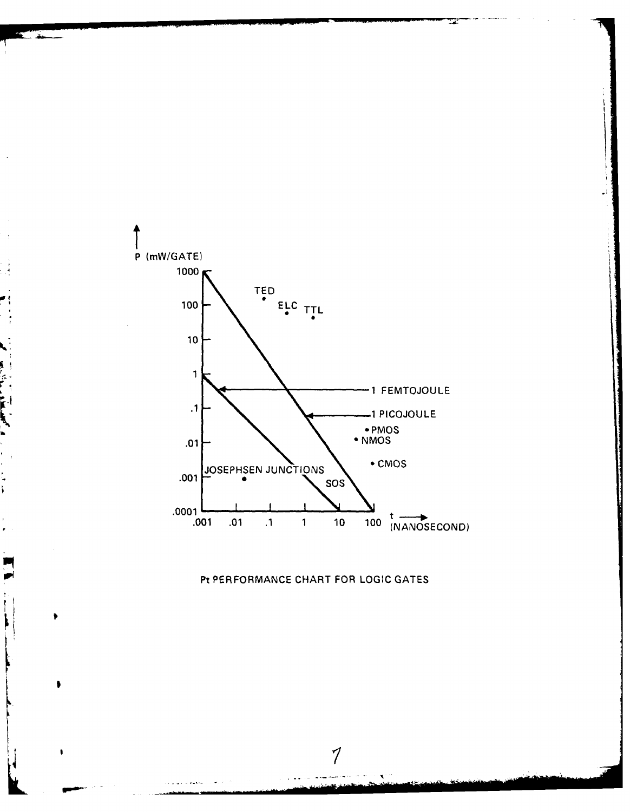

# Pi PERFORMANCE CHART FOR **LOGIC GATES**

 $\cal I$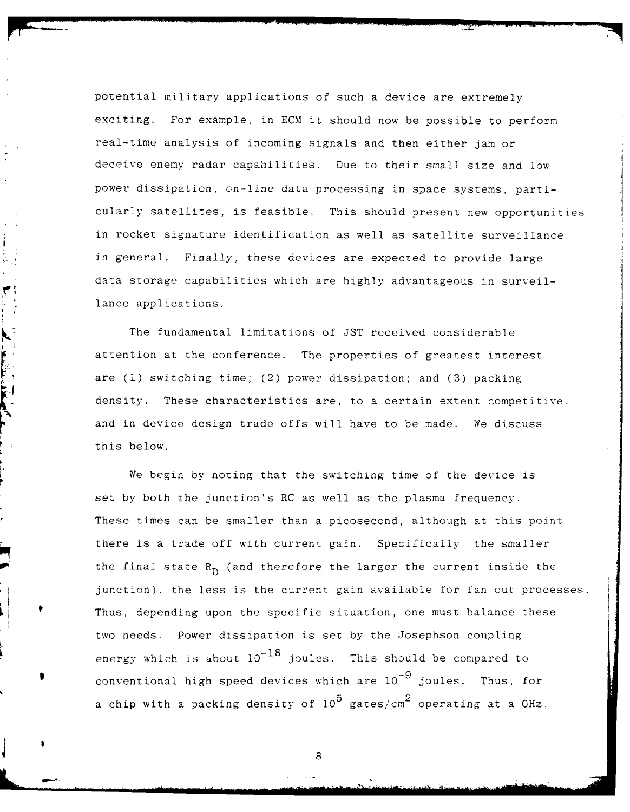potential military applications of such a device are extremely exciting. For example, in ECM it should now be possible to perform real-time analysis of incoming signals and then either jam or deceive enemy radar capabilities. Due to their small size and low power dissipation, on-line data processing in space systems, particularly satellites, is feasible. This should present new opportunities in rocket signature identification as well as satellite surveillance in general. Finally, these devices are expected to provide large data storage capabilities which are highly advantageous in surveillance applications.

Ì

 $\blacktriangledown$ 

**KING CONTROL** 

F..--E....... ......

The fundamental limitations of JST received considerable attention at the conference. The properties of greatest interest are **(1)** switching time; (2) power dissipation; and (3) packing density. These characteristics are, to a certain extent competitive. and in device design trade offs will have to be made. We discuss this below.

We begin by noting that the switching time of the device is set by both the junction's RC as well as the plasma frequency. These times can be smaller than a picosecond, although at this point there is a trade off with current gain. Specifically the smaller the final state  $R_D$  (and therefore the larger the current inside the junction). the less is the current gain available for fan out processes. Thus, depending upon the specific situation, one must balance these two needs. Power dissipation is set by the Josephson coupling  $-18$ energy which is about **10** joules. This should be compared to  $-9$ conventional high speed devices which are **10** joules. Thus, for a chip with a packing density of **105** gates/cm 2 operating at a GHz,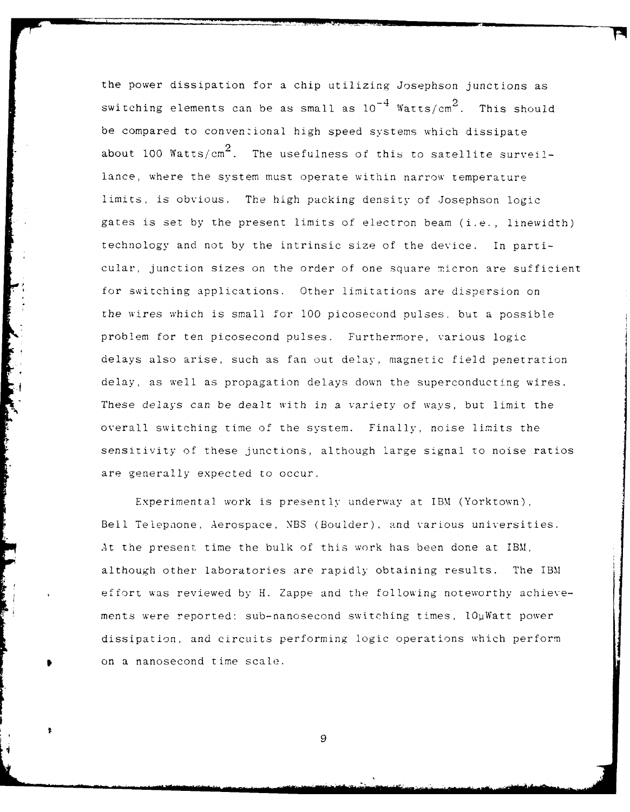the power dissipation for a chip utilizing Josephson junctions as switching elements can be as small as  $10^{-4}$  Watts/cm<sup>2</sup>. This should be compared to conventional high speed systems which dissipate about 100  ${\tt Watts/cm}^2$ . The usefulness of this to satellite surveillance, where the system must operate within narrow temperature limits, is obvious. The high packing density of Josephson logic gates is set by the present limits of electron beam (i.e., linewidth) technology and not by the intrinsic size of the device. In particular, junction sizes on the order of one square micron are sufficient for switching applications. Other limitations are dispersion on the wires which is small for **100** picosecond pulses, but a possible problem for ten picosecond pulses. Furthermore, various logic delays also arise, such as fan out delay, magnetic field penetration delay, as well as propagation delays down the superconducting wires. These delays can be dealt with in a variety of ways, but limit the overall switching time of the system. Finally, noise limits the sensitivity of these junctions, although large signal to noise ratios are generally expected to occur.

Experimental work is presently underway at IBM (Yorktown), Bell Telepnone, Aerospace, NBS (Boulder), and various universities. At the present time the bulk of this work has been done at IBM, although other laboratories are rapidly obtaining results. The IBM effort was reviewed by H. Zappe and the following noteworthy achievements were reported: sub-nanosecond switching times,  $l0\mu\text{Watt}$  power dissipation, and circuits performing logic operations which perform on a nanosecond time scale.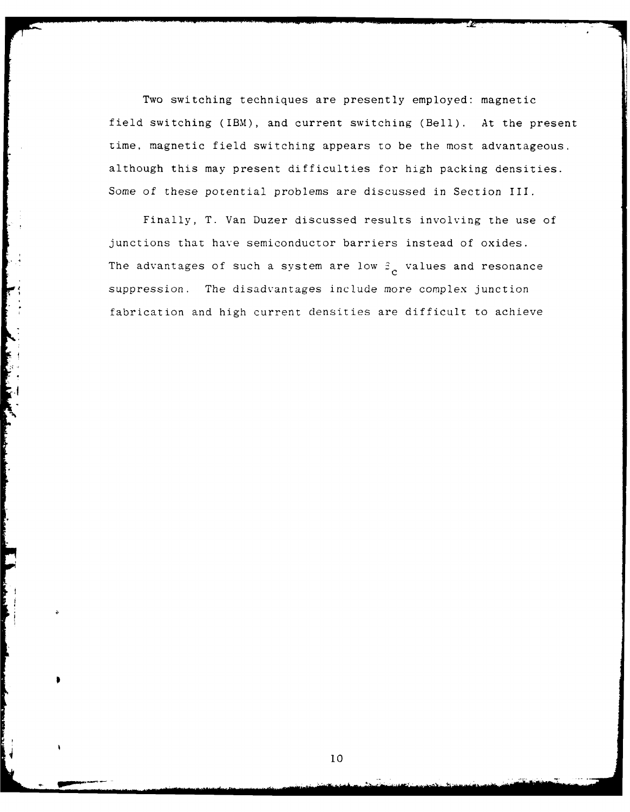Two switching techniques are presently employed: magnetic field switching (IBM), and current switching (Bell). At the present time, magnetic field switching appears to be the most advantageous, although this may present difficulties for high packing densities. Some of these potential problems are discussed in Section III.

Finally, T. Van Duzer discussed results involving the use of junctions that have semiconductor barriers instead of oxides. The advantages of such a system are low  $\beta_c$  values and resonance suppression. The disadvantages include more complex junction fabrication and high current densities are difficult to achieve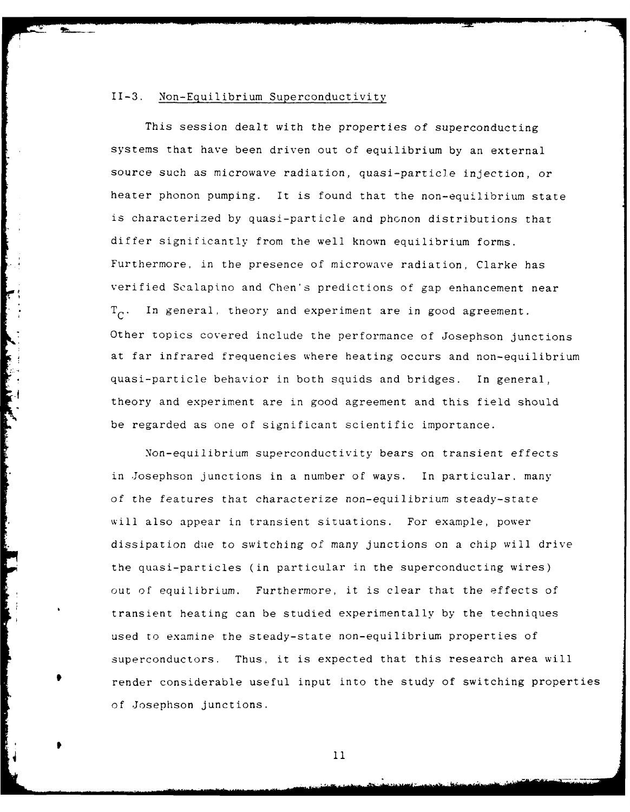#### 11-3. Non-Equilibrium Superconductivity

This session dealt with the properties of superconducting systems that have been driven out of equilibrium by an external source such as microwave radiation, quasi-particle injection, or heater phonon pumping. It is found that the non-equilibrium state is characterized by quasi-particle and phonon distributions that differ significantly from the well known equilibrium forms. Furthermore, in the presence of microwave radiation, Clarke has verified Scalapino and Chen's predictions of gap enhancement near  $T_c$ . In general, theory and experiment are in good agreement. Other topics covered include the performance of Josephson junctions at far infrared frequencies where heating occurs and non-equilibrium quasi-particle behavior in both squids and bridges. In general, theory and experiment are in good agreement and this field should be regarded as one of significant scientific importance.

Non-equilibrium superconductivity bears on transient effects in Josephson junctions in a number of ways. In particular, many of the features that characterize non-equilibrium steady-state will also appear in transient situations. For example, power dissipation due to switching of many junctions on a chip will drive the quasi-particles (in particular in the superconducting wires) out of equilibrium. Furthermore, it is clear that the effects of transient heating can be studied experimentally by the techniques used to examine the steady-state non-equilibrium properties of superconductors. Thus, it is expected that this research area will render considerable useful input into the study of switching properties of Josephson junctions.

11

p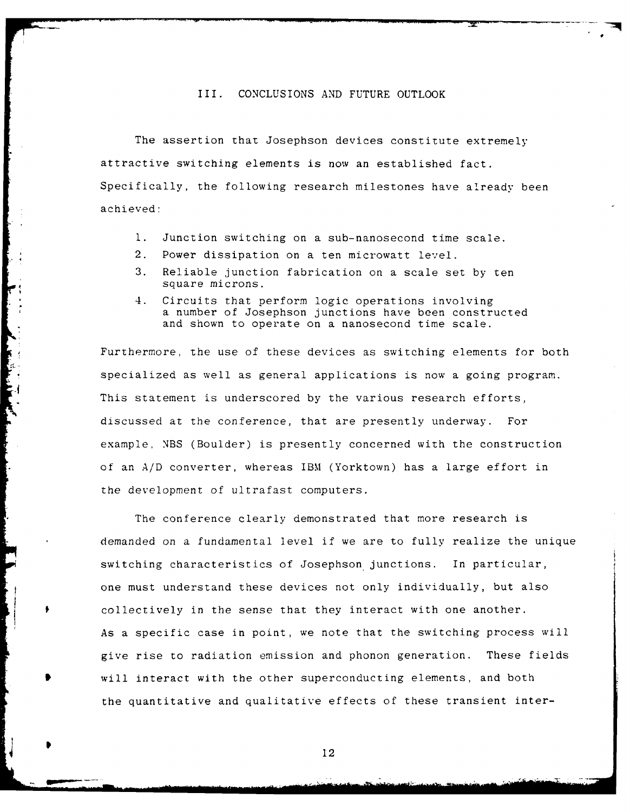#### III. CONCLUSIONS AND FUTURE OUTLOOK

The assertion that Josephson devices constitute extremely attractive switching elements is now an established fact. Specifically, the following research milestones have already been achieved:

- **1.** Junction switching on a sub-nanosecond time scale.
- 2. Power dissipation on a ten microwatt level.
- 3. Reliable junction fabrication on a scale set by ten square microns.
- 4. Circuits that perform logic operations involving a number of Josephson junctions have been constructed and shown to operate on a nanosecond time scale.

Furthermore, the use of these devices as switching elements for both specialized as well as general applications is now a going program. This statement is underscored by the various research efforts, discussed at the conference, that are presently underway. For example, NBS (Boulder) is presently concerned with the construction of an **A/D** converter, whereas IBM (Yorktown) has a large effort in the development of ultrafast computers.

The conference clearly demonstrated that more research is demanded on a fundamental level if we are to fully realize the unique switching characteristics of Josephson junctions. In particular, one must understand these devices not only individually, but also collectively in the sense that they interact with one another. As a specific case in point, we note that the switching process will give rise to radiation emission and phonon generation. These fields will interact with the other superconducting elements, and both the quantitative and qualitative effects of these transient inter-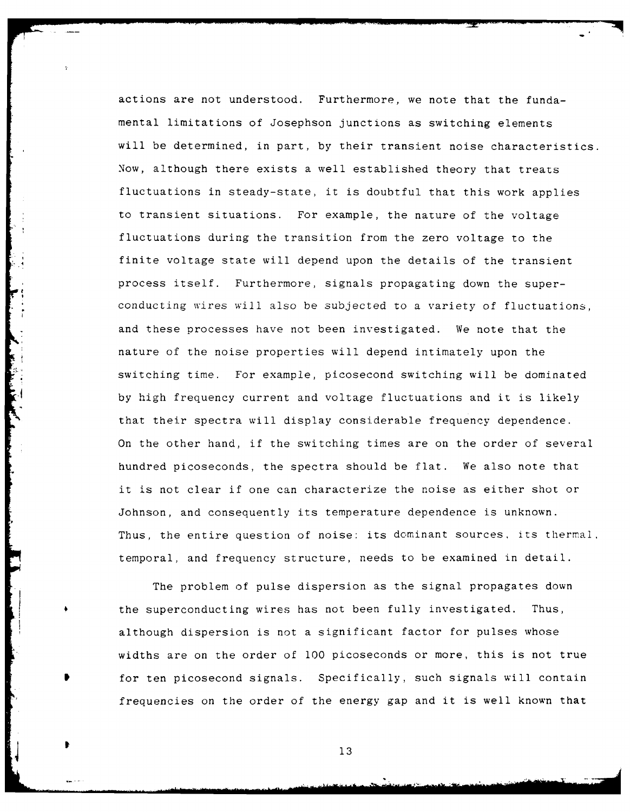actions are not understood. Furthermore, we note that the fundamental limitations of Josephson junctions as switching elements will be determined, in part, by their transient noise characteristics. Now, although there exists a well established theory that treats fluctuations in steady-state, it is doubtful that this work applies to transient situations. For example, the nature of the voltage fluctuations during the transition from the zero voltage to the finite voltage state will depend upon the details of the transient process itself. Furthermore, signals propagating down the superconducting wires will also be subjected to a variety of fluctuations, and these processes have not been investigated. We note that the nature of the noise properties will depend intimately upon the switching time. For example, picosecond switching will be dominated by high frequency current and voltage fluctuations and it is likely that their spectra will display considerable frequency dependence. On the other hand, if the switching times are on the order of several hundred picoseconds, the spectra should be flat. We also note that it is not clear if one can characterize the noise as either shot or Johnson, and consequently its temperature dependence is unknown. Thus, the entire question of noise: its dominant sources, its thermal, temporal, and frequency structure, needs to be examined in detail.

The problem of pulse dispersion as the signal propagates down the superconducting wires has not been fully investigated. Thus, although dispersion is not a significant factor for pulses whose widths are on the order of **100** picoseconds or more, this is not true for ten picosecond signals. Specifically, such signals will contain frequencies on the order of the energy gap and it is well known that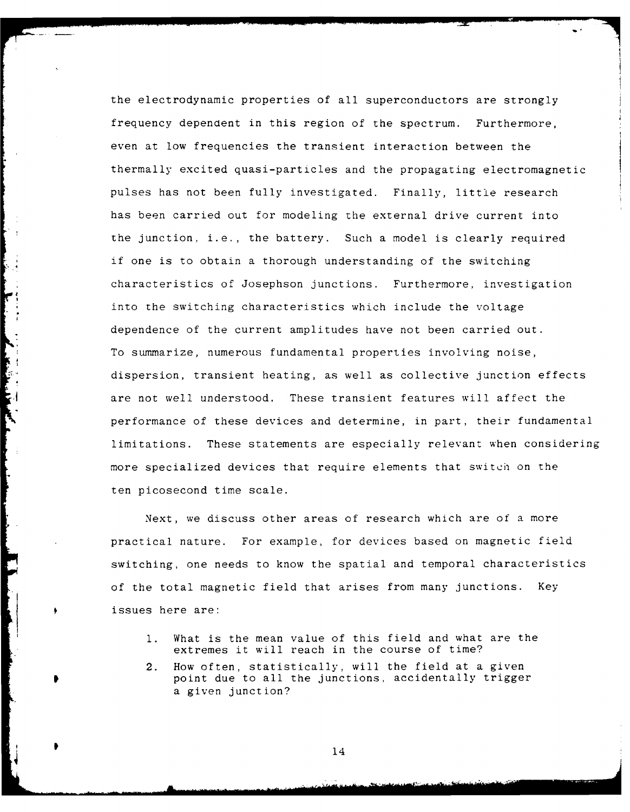the electrodynamic properties of all superconductors are strongly frequency dependent in this region of the spectrum. Furthermore, even at low frequencies the transient interaction between the thermally excited quasi-particles and the propagating electromagnetic pulses has not been fully investigated. Finally, little research has been carried out for modeling the external drive current into the junction, i.e., the battery. Such a model is clearly required if one is to obtain a thorough understanding of the switching characteristics of Josephson junctions. Furthermore, investigation into the switching characteristics which include the voltage dependence of the current amplitudes have not been carried out. To summarize, numerous fundamental properties involving noise, dispersion, transient heating, as well as collective junction effects are not well understood. These transient features will affect the performance of these devices and determine, in part, their fundamental limitations. These statements are especially relevant when considering more specialized devices that require elements that switch on the ten picosecond time scale.

Next, we discuss other areas of research which are of a more practical nature. For example, for devices based on magnetic field switching, one needs to know the spatial and temporal characteristics of the total magnetic field that arises from many junctions. Key issues here are:

- **1.** What is the mean value of this field and what are the extremes it will reach in the course of time?
- 2. How often, statistically, will the field at a given point due to all the junctions, accidentally trigger a given junction?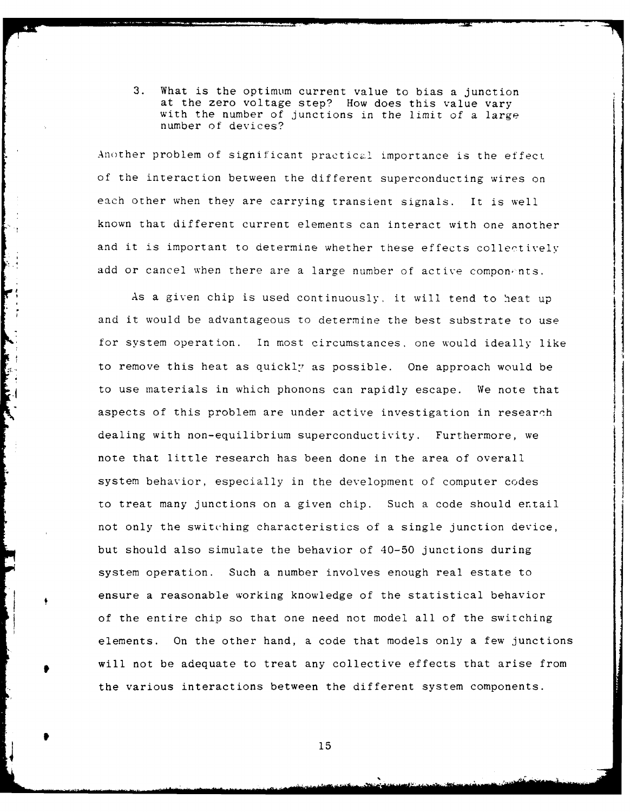3. What is the optimum current value to bias a junction at the zero voltage step? How does this value vary with the number of junctions in the limit of a large number of devices?

Another problem of significant practical importance is the effect of the interaction between the different superconducting wires on each other when they are carrying transient signals. It is well known that different current elements can interact with one another and it is important to determine whether these effects collectively add or cancel when there are a large number of active components.

As a given chip is used continuously, it will tend to heat up and it would be advantageous to determine the best substrate to use for system operation. In most circumstances. one would ideally like to remove this heat as quickly as possible. One approach would be to use materials in which phonons can rapidly escape. We note that aspects of this problem are under active investigation in research dealing with non-equilibrium superconductivity. Furthermore, we note that little research has been done in the area of overall system behavior, especially in the development of computer codes to treat many junctions on a given chip. Such a code should entail not only the switching characteristics of a single junction device, but should also simulate the behavior of 40-50 junctions during system operation. Such a number involves enough real estate to ensure a reasonable working knowledge of the statistical behavior of the entire chip so that one need not model all of the switching elements. On the other hand, a code that models only a few junctions will not be adequate to treat any collective effects that arise from the various interactions between the different system components.